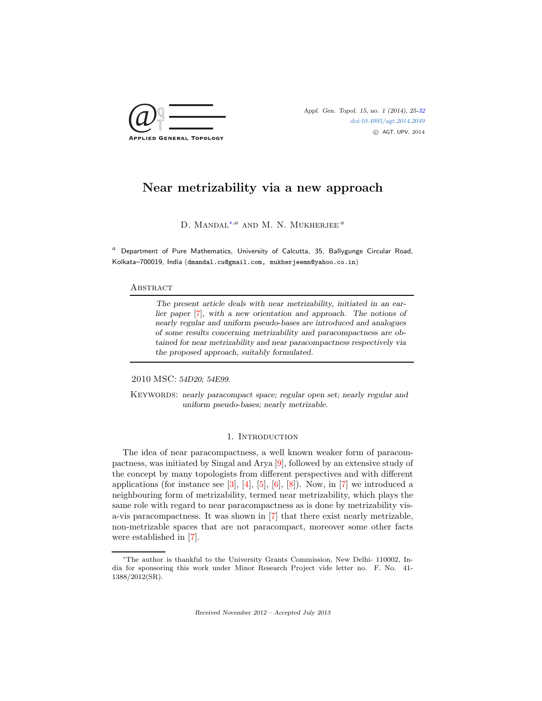

[doi:10.4995/agt.2014.2049](http://dx.doi.org/10.4995/agt.2014.2049) c AGT, UPV, 2014

# Near metrizability via a new approach

D. MANDAL<sup>[∗](#page-0-0),*a*</sup> AND M. N. MUKHERJEE<sup>*a*</sup>

 $^a$  Department of Pure Mathematics, University of Calcutta, 35, Ballygunge Circular Road, Kolkata–700019, India (dmandal.cu@gmail.com, mukherjeemn@yahoo.co.in)

## **ABSTRACT**

The present article deals with near metrizability, initiated in an earlier paper [\[7\]](#page-7-1), with a new orientation and approach. The notions of nearly regular and uniform pseudo-bases are introduced and analogues of some results concerning metrizability and paracompactness are obtained for near metrizability and near paracompactness respectively via the proposed approach, suitably formulated.

2010 MSC: 54D20; 54E99.

KEYWORDS: nearly paracompact space; regular open set; nearly regular and uniform pseudo-bases; nearly metrizable.

## 1. INTRODUCTION

The idea of near paracompactness, a well known weaker form of paracompactness, was initiated by Singal and Arya [\[9\]](#page-7-2), followed by an extensive study of the concept by many topologists from different perspectives and with different applications (for instance see  $[3]$ ,  $[4]$ ,  $[5]$ ,  $[6]$ ,  $[8]$ ). Now, in  $[7]$  we introduced a neighbouring form of metrizability, termed near metrizability, which plays the same role with regard to near paracompactness as is done by metrizability visa-vis paracompactness. It was shown in [\[7\]](#page-7-1) that there exist nearly metrizable, non-metrizable spaces that are not paracompact, moreover some other facts were established in [\[7\]](#page-7-1).

Received November 2012 – Accepted July 2013

<span id="page-0-0"></span><sup>∗</sup>The author is thankful to the University Grants Commission, New Delhi- 110002, India for sponsoring this work under Minor Research Project vide letter no. F. No. 41- 1388/2012(SR).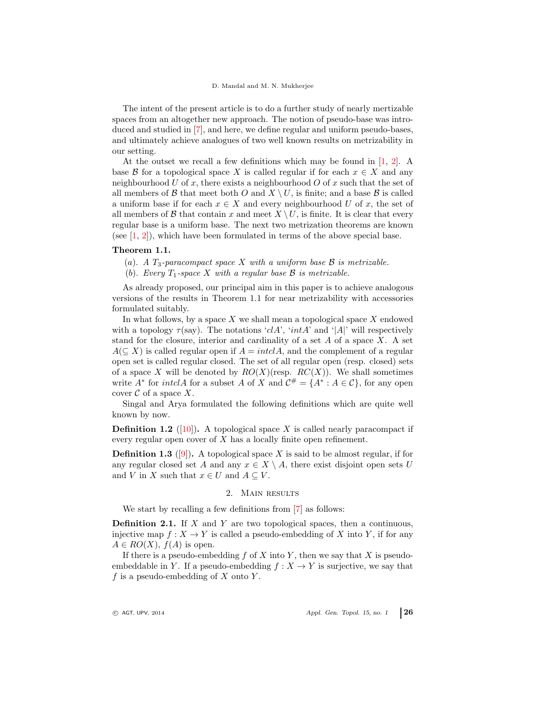The intent of the present article is to do a further study of nearly mertizable spaces from an altogether new approach. The notion of pseudo-base was introduced and studied in [\[7\]](#page-7-1), and here, we define regular and uniform pseudo-bases, and ultimately achieve analogues of two well known results on metrizability in our setting.

At the outset we recall a few definitions which may be found in [\[1,](#page-7-8) [2\]](#page-7-9). A base B for a topological space X is called regular if for each  $x \in X$  and any neighbourhood U of x, there exists a neighbourhood O of x such that the set of all members of B that meet both O and  $X \setminus U$ , is finite; and a base B is called a uniform base if for each  $x \in X$  and every neighbourhood U of x, the set of all members of B that contain x and meet  $X \setminus U$ , is finite. It is clear that every regular base is a uniform base. The next two metrization theorems are known (see  $[1, 2]$  $[1, 2]$ ), which have been formulated in terms of the above special base.

## Theorem 1.1.

(a). A  $T_3$ -paracompact space X with a uniform base  $\mathcal B$  is metrizable.

(b). Every  $T_1$ -space X with a regular base  $\mathcal B$  is metrizable.

As already proposed, our principal aim in this paper is to achieve analogous versions of the results in Theorem 1.1 for near metrizability with accessories formulated suitably.

In what follows, by a space  $X$  we shall mean a topological space  $X$  endowed with a topology  $\tau$ (say). The notations 'clA', 'intA' and '|A|' will respectively stand for the closure, interior and cardinality of a set  $A$  of a space  $X$ . A set  $A(\subseteq X)$  is called regular open if  $A = intclA$ , and the complement of a regular open set is called regular closed. The set of all regular open (resp. closed) sets of a space X will be denoted by  $RO(X)(resp. RC(X))$ . We shall sometimes write  $A^*$  for *intclA* for a subset A of X and  $C^* = \{A^*: A \in \mathcal{C}\}$ , for any open cover  $\mathcal C$  of a space  $X$ .

Singal and Arya formulated the following definitions which are quite well known by now.

**Definition 1.2** ([\[10\]](#page-7-10)). A topological space X is called nearly paracompact if every regular open cover of X has a locally finite open refinement.

**Definition 1.3** ([\[9\]](#page-7-2)). A topological space X is said to be almost regular, if for any regular closed set A and any  $x \in X \setminus A$ , there exist disjoint open sets U and V in X such that  $x \in U$  and  $A \subseteq V$ .

#### 2. Main results

We start by recalling a few definitions from [\[7\]](#page-7-1) as follows:

**Definition 2.1.** If  $X$  and  $Y$  are two topological spaces, then a continuous, injective map  $f: X \to Y$  is called a pseudo-embedding of X into Y, if for any  $A \in RO(X)$ ,  $f(A)$  is open.

If there is a pseudo-embedding  $f$  of  $X$  into  $Y$ , then we say that  $X$  is pseudoembeddable in Y. If a pseudo-embedding  $f : X \to Y$  is surjective, we say that f is a pseudo-embedding of  $X$  onto  $Y$ .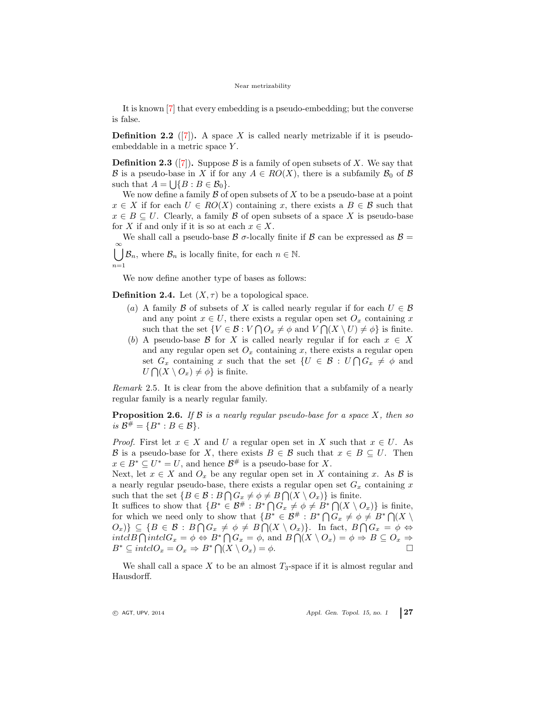#### Near metrizability

It is known [\[7\]](#page-7-1) that every embedding is a pseudo-embedding; but the converse is false.

**Definition 2.2** ([\[7\]](#page-7-1)). A space X is called nearly metrizable if it is pseudoembeddable in a metric space Y .

**Definition 2.3** ([\[7\]](#page-7-1)). Suppose B is a family of open subsets of X. We say that B is a pseudo-base in X if for any  $A \in RO(X)$ , there is a subfamily  $\mathcal{B}_0$  of B such that  $A = \bigcup \{ B : B \in \mathcal{B}_0 \}.$ 

We now define a family  $\mathcal B$  of open subsets of  $X$  to be a pseudo-base at a point  $x \in X$  if for each  $U \in RO(X)$  containing x, there exists a  $B \in \mathcal{B}$  such that  $x \in B \subseteq U$ . Clearly, a family B of open subsets of a space X is pseudo-base for X if and only if it is so at each  $x \in X$ .

We shall call a pseudo-base  $\beta$   $\sigma$ -locally finite if  $\beta$  can be expressed as  $\beta$  =  $\bigcup_{n=1}^{\infty} \mathcal{B}_n$ , where  $\mathcal{B}_n$  is locally finite, for each  $n \in \mathbb{N}$ .

 $n=1$ 

We now define another type of bases as follows:

**Definition 2.4.** Let  $(X, \tau)$  be a topological space.

- (a) A family B of subsets of X is called nearly regular if for each  $U \in \mathcal{B}$ and any point  $x \in U$ , there exists a regular open set  $O_x$  containing x such that the set  $\{V \in \mathcal{B} : V \cap O_x \neq \emptyset \text{ and } V \cap (X \setminus U) \neq \emptyset\}$  is finite.
- (b) A pseudo-base B for X is called nearly regular if for each  $x \in X$ and any regular open set  $O_x$  containing x, there exists a regular open set  $G_x$  containing x such that the set  $\{U \in \mathcal{B} : U \cap G_x \neq \emptyset \text{ and }$  $U\bigcap (X\setminus O_x) \neq \emptyset$  is finite.

Remark 2.5. It is clear from the above definition that a subfamily of a nearly regular family is a nearly regular family.

<span id="page-2-0"></span>**Proposition 2.6.** If  $\beta$  is a nearly regular pseudo-base for a space X, then so *is*  $B^{\#} = {B^* : B \in B}.$ 

*Proof.* First let  $x \in X$  and U a regular open set in X such that  $x \in U$ . As B is a pseudo-base for X, there exists  $B \in \mathcal{B}$  such that  $x \in B \subseteq U$ . Then  $x \in B^* \subseteq U^* = U$ , and hence  $B^{\#}$  is a pseudo-base for X.

Next, let  $x \in X$  and  $O_x$  be any regular open set in X containing x. As B is a nearly regular pseudo-base, there exists a regular open set  $G_x$  containing x such that the set  $\{B \in \mathcal{B} : B \cap G_x \neq \emptyset \neq B \cap (X \setminus O_x)\}$  is finite.

It suffices to show that  $\{B^* \in \mathcal{B}^* : B^* \cap G_x \neq \phi \neq B^* \cap (X \setminus O_x)\}$  is finite, for which we need only to show that  $\{B^* \in \mathcal{B}^{\#}: B^* \cap G_x \neq \phi \neq B^* \cap (X \setminus$  $\{O_x\} \subseteq \{B \in \mathcal{B} : B \cap G_x \neq \emptyset \neq B \cap (X \setminus O_x)\}.$  In fact,  $B \cap G_x = \emptyset \Leftrightarrow$  $intclB \bigcap intclG_x = \phi \Leftrightarrow B^* \bigcap G_x = \phi$ , and  $B \bigcap (X \setminus O_x) = \phi \Rightarrow B \subseteq O_x \Rightarrow$  $B^* \subseteq \text{intcl} O_x = O_x \Rightarrow B^* \bigcap (X \setminus O_x) = \phi.$ 

We shall call a space X to be an almost  $T_3$ -space if it is almost regular and Hausdorff.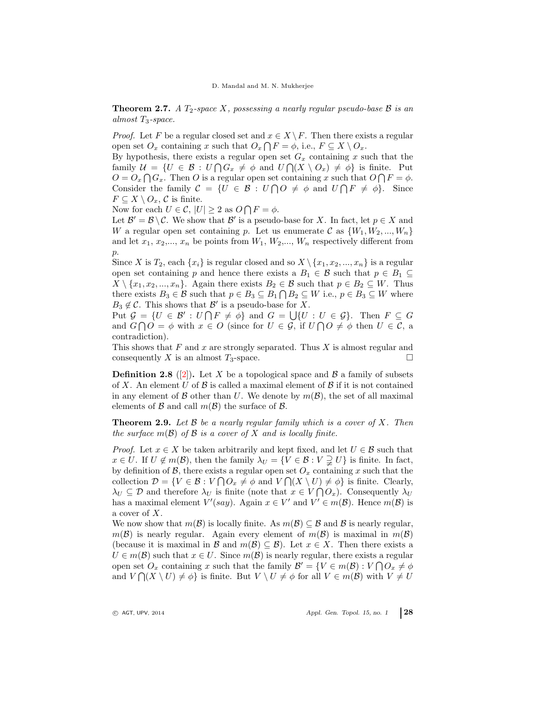**Theorem 2.7.** A  $T_2$ -space X, possessing a nearly regular pseudo-base B is an almost  $T_3$ -space.

*Proof.* Let F be a regular closed set and  $x \in X \backslash F$ . Then there exists a regular open set  $O_x$  containing x such that  $O_x \cap F = \phi$ , i.e.,  $F \subseteq X \setminus O_x$ .

By hypothesis, there exists a regular open set  $G_x$  containing x such that the family  $\mathcal{U} = \{U \in \mathcal{B} : U \cap G_x \neq \emptyset \text{ and } U \cap (X \setminus O_x) \neq \emptyset \}$  is finite. Put  $O = O_x \cap G_x$ . Then O is a regular open set containing x such that  $O \cap F = \phi$ . Consider the family  $C = \{U \in \mathcal{B} : U \cap O \neq \emptyset \text{ and } U \cap F \neq \emptyset\}.$  Since  $F \subseteq X \setminus O_x$ , C is finite.

Now for each  $U \in \mathcal{C}$ ,  $|U| \geq 2$  as  $O \bigcap F = \phi$ .

Let  $\mathcal{B}' = \mathcal{B} \setminus \mathcal{C}$ . We show that  $\mathcal{B}'$  is a pseudo-base for X. In fact, let  $p \in X$  and W a regular open set containing p. Let us enumerate C as  $\{W_1, W_2, ..., W_n\}$ and let  $x_1, x_2,..., x_n$  be points from  $W_1, W_2,..., W_n$  respectively different from  $p$ .

Since X is  $T_2$ , each  $\{x_i\}$  is regular closed and so  $X \setminus \{x_1, x_2, ..., x_n\}$  is a regular open set containing p and hence there exists a  $B_1 \in \mathcal{B}$  such that  $p \in B_1 \subseteq$  $X \setminus \{x_1, x_2, ..., x_n\}$ . Again there exists  $B_2 \in \mathcal{B}$  such that  $p \in B_2 \subseteq W$ . Thus there exists  $B_3 \in \mathcal{B}$  such that  $p \in B_3 \subseteq B_1 \cap B_2 \subseteq W$  i.e.,  $p \in B_3 \subseteq W$  where  $B_3 \notin \mathcal{C}$ . This shows that  $\mathcal{B}'$  is a pseudo-base for X.

Put  $\mathcal{G} = \{U \in \mathcal{B}' : U \cap F \neq \emptyset\}$  and  $G = \bigcup \{U : U \in \mathcal{G}\}$ . Then  $F \subseteq G$ and  $G \cap O = \phi$  with  $x \in O$  (since for  $U \in \mathcal{G}$ , if  $U \cap O \neq \phi$  then  $U \in \mathcal{C}$ , a contradiction).

This shows that  $F$  and  $x$  are strongly separated. Thus  $X$  is almost regular and consequently X is an almost  $T_3$ -space.

**Definition 2.8** ([\[2\]](#page-7-9)). Let X be a topological space and B a family of subsets of X. An element U of B is called a maximal element of B if it is not contained in any element of B other than U. We denote by  $m(\mathcal{B})$ , the set of all maximal elements of  $\mathcal B$  and call  $m(\mathcal B)$  the surface of  $\mathcal B$ .

<span id="page-3-0"></span>**Theorem 2.9.** Let  $\beta$  be a nearly regular family which is a cover of  $X$ . Then the surface  $m(\mathcal{B})$  of  $\mathcal B$  is a cover of  $X$  and is locally finite.

*Proof.* Let  $x \in X$  be taken arbitrarily and kept fixed, and let  $U \in \mathcal{B}$  such that  $x \in U$ . If  $U \notin m(\mathcal{B})$ , then the family  $\lambda_U = \{V \in \mathcal{B} : V \supsetneq U\}$  is finite. In fact, by definition of  $\mathcal{B}$ , there exists a regular open set  $O_x$  containing x such that the collection  $\mathcal{D} = \{ V \in \mathcal{B} : V \cap O_x \neq \emptyset \text{ and } V \cap (X \setminus U) \neq \emptyset \}$  is finite. Clearly,  $\lambda_U \subseteq \mathcal{D}$  and therefore  $\lambda_U$  is finite (note that  $x \in V \cap O_x$ ). Consequently  $\lambda_U$ has a maximal element  $V'(say)$ . Again  $x \in V'$  and  $V' \in m(\mathcal{B})$ . Hence  $m(\mathcal{B})$  is a cover of X.

We now show that  $m(\mathcal{B})$  is locally finite. As  $m(\mathcal{B}) \subseteq \mathcal{B}$  and  $\mathcal{B}$  is nearly regular,  $m(\mathcal{B})$  is nearly regular. Again every element of  $m(\mathcal{B})$  is maximal in  $m(\mathcal{B})$ (because it is maximal in B and  $m(\mathcal{B}) \subseteq \mathcal{B}$ ). Let  $x \in X$ . Then there exists a  $U \in m(\mathcal{B})$  such that  $x \in U$ . Since  $m(\mathcal{B})$  is nearly regular, there exists a regular open set  $O_x$  containing x such that the family  $\mathcal{B}' = \{ V \in m(\mathcal{B}) : V \cap O_x \neq \phi \}$ and  $V \cap (X \setminus U) \neq \emptyset$  is finite. But  $V \setminus U \neq \emptyset$  for all  $V \in m(\mathcal{B})$  with  $V \neq U$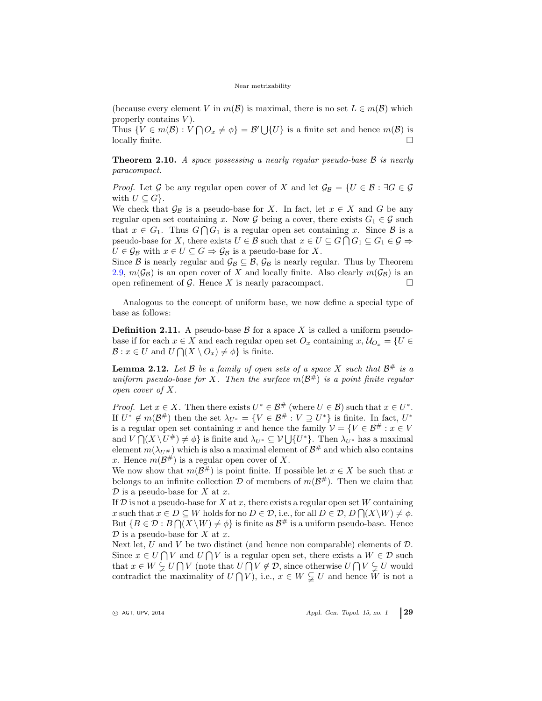#### Near metrizability

(because every element V in  $m(\mathcal{B})$  is maximal, there is no set  $L \in m(\mathcal{B})$  which properly contains  $V$ ).

Thus  $\{V \in m(\mathcal{B}) : V \cap O_x \neq \emptyset\} = \mathcal{B}' \cup \{U\}$  is a finite set and hence  $m(\mathcal{B})$  is locally finite.

<span id="page-4-1"></span>**Theorem 2.10.** A space possessing a nearly regular pseudo-base  $\beta$  is nearly paracompact.

*Proof.* Let G be any regular open cover of X and let  $\mathcal{G}_{\mathcal{B}} = \{U \in \mathcal{B} : \exists G \in \mathcal{G}$ with  $U \subseteq G$ .

We check that  $\mathcal{G}_{\mathcal{B}}$  is a pseudo-base for X. In fact, let  $x \in X$  and G be any regular open set containing x. Now G being a cover, there exists  $G_1 \in \mathcal{G}$  such that  $x \in G_1$ . Thus  $G \cap G_1$  is a regular open set containing x. Since B is a pseudo-base for X, there exists  $U \in \mathcal{B}$  such that  $x \in U \subseteq G \cap G_1 \subseteq G_1 \in \mathcal{G} \Rightarrow$  $U \in \mathcal{G}_{\mathcal{B}}$  with  $x \in U \subseteq G \Rightarrow \mathcal{G}_{\mathcal{B}}$  is a pseudo-base for X.

Since B is nearly regular and  $\mathcal{G}_{\mathcal{B}} \subseteq \mathcal{B}, \mathcal{G}_{\mathcal{B}}$  is nearly regular. Thus by Theorem [2.9,](#page-3-0)  $m(\mathcal{G}_{\mathcal{B}})$  is an open cover of X and locally finite. Also clearly  $m(\mathcal{G}_{\mathcal{B}})$  is an open refinement of  $\mathcal G$ . Hence X is nearly paracompact.

Analogous to the concept of uniform base, we now define a special type of base as follows:

**Definition 2.11.** A pseudo-base  $\beta$  for a space X is called a uniform pseudobase if for each  $x \in X$  and each regular open set  $O_x$  containing  $x, \mathcal{U}_{O_x} = \{U \in$  $\mathcal{B}: x \in U$  and  $U \cap (X \setminus O_x) \neq \emptyset$  is finite.

<span id="page-4-0"></span>**Lemma 2.12.** Let B be a family of open sets of a space X such that  $\mathcal{B}^{\#}$  is a uniform pseudo-base for X. Then the surface  $m(\mathcal{B}^{\#})$  is a point finite regular open cover of X.

*Proof.* Let  $x \in X$ . Then there exists  $U^* \in \mathcal{B}^{\#}$  (where  $U \in \mathcal{B}$ ) such that  $x \in U^*$ . If  $U^* \notin m(\mathcal{B}^{\#})$  then the set  $\lambda_{U^*} = \{V \in \mathcal{B}^{\#} : V \supseteq U^*\}$  is finite. In fact,  $U^*$ is a regular open set containing x and hence the family  $\mathcal{V} = \{V \in \mathcal{B}^{\#}: x \in V\}$ and  $V \cap (X \setminus U^{\#}) \neq \emptyset$  is finite and  $\lambda_{U^*} \subseteq V \bigcup \{U^*\}$ . Then  $\lambda_{U^*}$  has a maximal element  $m(\lambda_{U^{\#}})$  which is also a maximal element of  $\mathcal{B}^{\#}$  and which also contains x. Hence  $m(\mathcal{B}^{\#})$  is a regular open cover of X.

We now show that  $m(\mathcal{B}^{\#})$  is point finite. If possible let  $x \in X$  be such that x belongs to an infinite collection  $\mathcal D$  of members of  $m(\mathcal B^{\#})$ . Then we claim that  $\mathcal D$  is a pseudo-base for X at x.

If  $\mathcal D$  is not a pseudo-base for X at x, there exists a regular open set W containing x such that  $x \in D \subseteq W$  holds for no  $D \in \mathcal{D}$ , i.e., for all  $D \in \mathcal{D}$ ,  $D \bigcap (X \setminus W) \neq \emptyset$ . But  $\{B \in \mathcal{D} : B \cap (X \setminus W) \neq \emptyset\}$  is finite as  $\mathcal{B}^{\#}$  is a uniform pseudo-base. Hence  $\mathcal D$  is a pseudo-base for X at x.

Next let, U and V be two distinct (and hence non comparable) elements of  $D$ . Since  $x \in U \cap V$  and  $U \cap V$  is a regular open set, there exists a  $W \in \mathcal{D}$  such that  $x \in W \subsetneq U \cap V$  (note that  $U \cap V \notin \mathcal{D}$ , since otherwise  $U \cap V \subsetneq U$  would contradict the maximality of  $U \cap V$ , i.e.,  $x \in W \subsetneq U$  and hence W is not a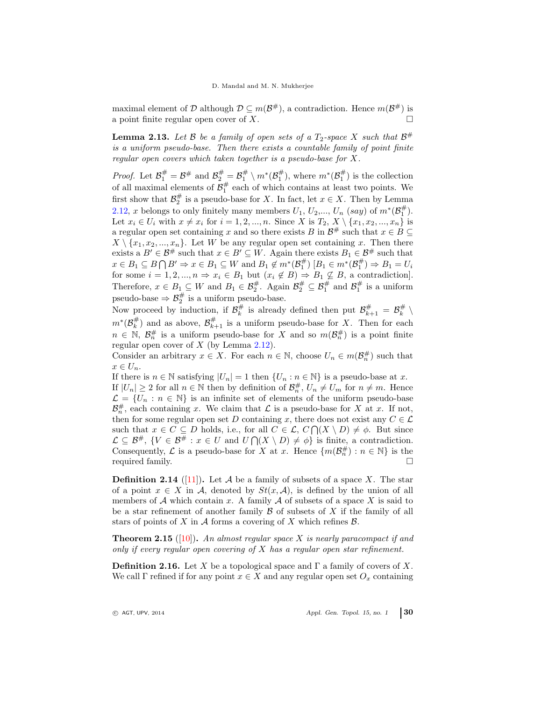maximal element of D although  $D \subseteq m(\mathcal{B}^{\#})$ , a contradiction. Hence  $m(\mathcal{B}^{\#})$  is a point finite regular open cover of X.

<span id="page-5-0"></span>**Lemma 2.13.** Let  $\mathcal{B}$  be a family of open sets of a  $T_2$ -space  $X$  such that  $\mathcal{B}^{\#}$ is a uniform pseudo-base. Then there exists a countable family of point finite regular open covers which taken together is a pseudo-base for X.

*Proof.* Let  $\mathcal{B}_1^{\#} = \mathcal{B}^{\#}$  and  $\mathcal{B}_2^{\#} = \mathcal{B}_1^{\#} \setminus m^*(\mathcal{B}_1^{\#})$ , where  $m^*(\mathcal{B}_1^{\#})$  is the collection of all maximal elements of  $\mathcal{B}_1^{\#}$  each of which contains at least two points. We first show that  $\mathcal{B}_2^{\#}$  is a pseudo-base for X. In fact, let  $x \in X$ . Then by Lemma [2.12,](#page-4-0) x belongs to only finitely many members  $U_1$ ,  $U_2$ ,...,  $U_n$  (say) of  $m^*(\mathcal{B}_1^{\#})$ . Let  $x_i \in U_i$  with  $x \neq x_i$  for  $i = 1, 2, ..., n$ . Since X is  $T_2, X \setminus \{x_1, x_2, ..., x_n\}$  is a regular open set containing x and so there exists B in  $\mathcal{B}^{\#}$  such that  $x \in B \subseteq$  $X \setminus \{x_1, x_2, ..., x_n\}$ . Let W be any regular open set containing x. Then there exists a  $B' \in \mathcal{B}^{\#}$  such that  $x \in B' \subseteq W$ . Again there exists  $B_1 \in \mathcal{B}^{\#}$  such that  $x \in B_1 \subseteq B \cap B' \Rightarrow x \in B_1 \subseteq W$  and  $B_1 \notin m^*(\mathcal{B}_1^{\#}) [B_1 \in m^*(\mathcal{B}_1^{\#}) \Rightarrow B_1 = U_i$ for some  $i = 1, 2, ..., n \Rightarrow x_i \in B_1$  but  $(x_i \notin B) \Rightarrow B_1 \nsubseteq B$ , a contradiction. Therefore,  $x \in B_1 \subseteq W$  and  $B_1 \in \mathcal{B}_2^{\#}$ . Again  $\mathcal{B}_2^{\#} \subseteq \mathcal{B}_1^{\#}$  and  $\mathcal{B}_1^{\#}$  is a uniform pseudo-base  $\Rightarrow \mathcal{B}_2^{\#}$  is a uniform pseudo-base.

Now proceed by induction, if  $\mathcal{B}_k^{\#}$  is already defined then put  $\mathcal{B}_{k+1}^{\#} = \mathcal{B}_k^{\#} \setminus$  $m^*(\mathcal{B}_k^{\#})$  and as above,  $\mathcal{B}_{k+1}^{\#}$  is a uniform pseudo-base for X. Then for each  $n \in \mathbb{N}$ ,  $\mathcal{B}_n^{\#}$  is a uniform pseudo-base for X and so  $m(\mathcal{B}_n^{\#})$  is a point finite regular open cover of  $X$  (by Lemma [2.12\)](#page-4-0).

Consider an arbitrary  $x \in X$ . For each  $n \in \mathbb{N}$ , choose  $U_n \in m(\mathcal{B}_n^{\#})$  such that  $x \in U_n$ .

If there is  $n \in \mathbb{N}$  satisfying  $|U_n| = 1$  then  $\{U_n : n \in \mathbb{N}\}\$ is a pseudo-base at x. If  $|U_n| \geq 2$  for all  $n \in \mathbb{N}$  then by definition of  $\mathcal{B}_n^{\#}$ ,  $U_n \neq U_m$  for  $n \neq m$ . Hence  $\mathcal{L} = \{U_n : n \in \mathbb{N}\}\$ is an infinite set of elements of the uniform pseudo-base  $\mathcal{B}_{n}^{\#}$ , each containing x. We claim that  $\mathcal{L}$  is a pseudo-base for X at x. If not, then for some regular open set D containing x, there does not exist any  $C \in \mathcal{L}$ such that  $x \in C \subseteq D$  holds, i.e., for all  $C \in \mathcal{L}$ ,  $C \cap (X \setminus D) \neq \emptyset$ . But since  $\mathcal{L} \subseteq \mathcal{B}^{\#}, \{V \in \mathcal{B}^{\#}: x \in U \text{ and } U \cap (X \setminus D) \neq \emptyset\} \text{ is finite, a contradiction.}$ Consequently,  $\mathcal L$  is a pseudo-base for X at x. Hence  $\{m(\mathcal B_n^{\#}) : n \in \mathbb N\}$  is the required family.

**Definition 2.14** ([\[11\]](#page-7-11)). Let A be a family of subsets of a space X. The star of a point  $x \in X$  in A, denoted by  $St(x, \mathcal{A})$ , is defined by the union of all members of  $A$  which contain x. A family  $A$  of subsets of a space  $X$  is said to be a star refinement of another family  $\beta$  of subsets of X if the family of all stars of points of X in A forms a covering of X which refines  $\mathcal{B}$ .

**Theorem 2.15** ([\[10\]](#page-7-10)). An almost regular space  $X$  is nearly paracompact if and only if every regular open covering of  $X$  has a regular open star refinement.

**Definition 2.16.** Let X be a topological space and  $\Gamma$  a family of covers of X. We call  $\Gamma$  refined if for any point  $x \in X$  and any regular open set  $O_x$  containing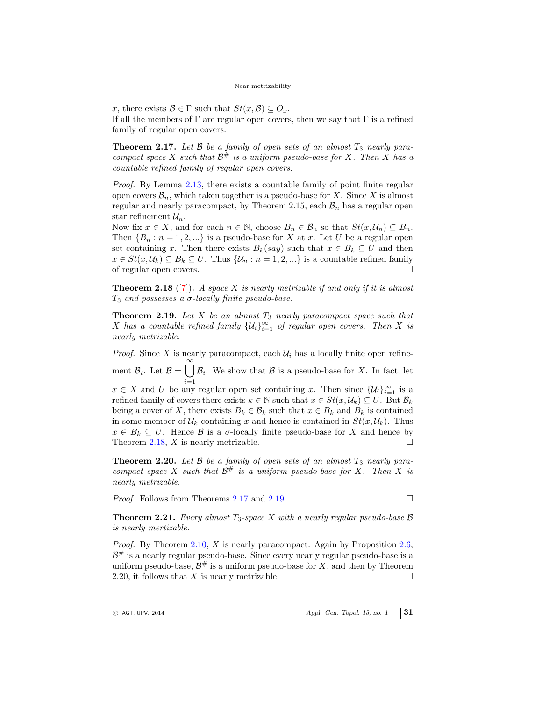x, there exists  $\mathcal{B} \in \Gamma$  such that  $St(x, \mathcal{B}) \subseteq O_x$ .

If all the members of  $\Gamma$  are regular open covers, then we say that  $\Gamma$  is a refined family of regular open covers.

<span id="page-6-1"></span>**Theorem 2.17.** Let  $\beta$  be a family of open sets of an almost  $T_3$  nearly paracompact space X such that  $\mathcal{B}^{\#}$  is a uniform pseudo-base for X. Then X has a countable refined family of regular open covers.

Proof. By Lemma [2.13,](#page-5-0) there exists a countable family of point finite regular open covers  $\mathcal{B}_n$ , which taken together is a pseudo-base for X. Since X is almost regular and nearly paracompact, by Theorem 2.15, each  $\mathcal{B}_n$  has a regular open star refinement  $\mathcal{U}_n$ .

Now fix  $x \in X$ , and for each  $n \in \mathbb{N}$ , choose  $B_n \in \mathcal{B}_n$  so that  $St(x, \mathcal{U}_n) \subseteq B_n$ . Then  ${B_n : n = 1, 2, ...}$  is a pseudo-base for X at x. Let U be a regular open set containing x. Then there exists  $B_k(say)$  such that  $x \in B_k \subseteq U$  and then  $x \in St(x, \mathcal{U}_k) \subseteq B_k \subseteq U$ . Thus  $\{\mathcal{U}_n : n = 1, 2, ...\}$  is a countable refined family of regular open covers.  $\hfill \square$ 

<span id="page-6-0"></span>**Theorem 2.18** ([\[7\]](#page-7-1)). A space X is nearly metrizable if and only if it is almost  $T_3$  and possesses a  $\sigma$ -locally finite pseudo-base.

<span id="page-6-2"></span>**Theorem 2.19.** Let  $X$  be an almost  $T_3$  nearly paracompact space such that X has a countable refined family  $\{U_i\}_{i=1}^{\infty}$  of regular open covers. Then X is nearly metrizable.

*Proof.* Since X is nearly paracompact, each  $\mathcal{U}_i$  has a locally finite open refinement  $\mathcal{B}_i$ . Let  $\mathcal{B} = \bigcup_{i=1}^{\infty} \mathcal{B}_i$ . We show that  $\mathcal{B}$  is a pseudo-base for X. In fact, let

 $x \in X$  and U be any regular open set containing x. Then since  $\{\mathcal{U}_i\}_{i=1}^{\infty}$  is a refined family of covers there exists  $k \in \mathbb{N}$  such that  $x \in St(x, \mathcal{U}_k) \subseteq U$ . But  $\mathcal{B}_k$ being a cover of X, there exists  $B_k \in \mathcal{B}_k$  such that  $x \in B_k$  and  $B_k$  is contained in some member of  $\mathcal{U}_k$  containing x and hence is contained in  $St(x, \mathcal{U}_k)$ . Thus  $x \in B_k \subseteq U$ . Hence B is a  $\sigma$ -locally finite pseudo-base for X and hence by Theorem [2.18,](#page-6-0) X is nearly metrizable.

**Theorem 2.20.** Let  $\beta$  be a family of open sets of an almost  $T_3$  nearly paracompact space X such that  $\mathcal{B}^{\#}$  is a uniform pseudo-base for X. Then X is nearly metrizable.

*Proof.* Follows from Theorems [2.17](#page-6-1) and [2.19.](#page-6-2)

**Theorem 2.21.** Every almost  $T_3$ -space X with a nearly regular pseudo-base  $\beta$ is nearly mertizable.

*Proof.* By Theorem [2.10,](#page-4-1)  $X$  is nearly paracompact. Again by Proposition [2.6,](#page-2-0)  $\mathcal{B}^{\#}$  is a nearly regular pseudo-base. Since every nearly regular pseudo-base is a uniform pseudo-base,  $\mathcal{B}^{\#}$  is a uniform pseudo-base for X, and then by Theorem 2.20, it follows that X is nearly metrizable.  $\square$